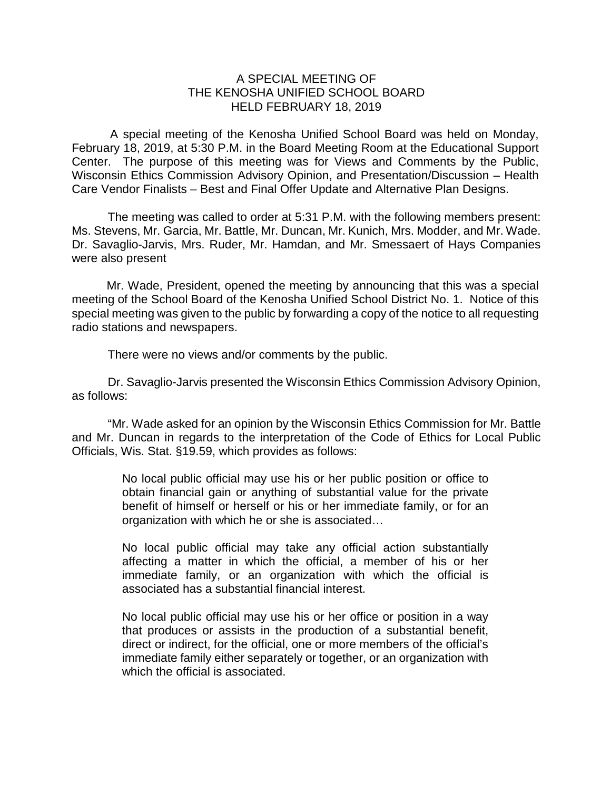## A SPECIAL MEETING OF THE KENOSHA UNIFIED SCHOOL BOARD HELD FEBRUARY 18, 2019

A special meeting of the Kenosha Unified School Board was held on Monday, February 18, 2019, at 5:30 P.M. in the Board Meeting Room at the Educational Support Center. The purpose of this meeting was for Views and Comments by the Public, Wisconsin Ethics Commission Advisory Opinion, and Presentation/Discussion – Health Care Vendor Finalists – Best and Final Offer Update and Alternative Plan Designs.

The meeting was called to order at 5:31 P.M. with the following members present: Ms. Stevens, Mr. Garcia, Mr. Battle, Mr. Duncan, Mr. Kunich, Mrs. Modder, and Mr. Wade. Dr. Savaglio-Jarvis, Mrs. Ruder, Mr. Hamdan, and Mr. Smessaert of Hays Companies were also present

Mr. Wade, President, opened the meeting by announcing that this was a special meeting of the School Board of the Kenosha Unified School District No. 1. Notice of this special meeting was given to the public by forwarding a copy of the notice to all requesting radio stations and newspapers.

There were no views and/or comments by the public.

Dr. Savaglio-Jarvis presented the Wisconsin Ethics Commission Advisory Opinion, as follows:

"Mr. Wade asked for an opinion by the Wisconsin Ethics Commission for Mr. Battle and Mr. Duncan in regards to the interpretation of the Code of Ethics for Local Public Officials, Wis. Stat. §19.59, which provides as follows:

> No local public official may use his or her public position or office to obtain financial gain or anything of substantial value for the private benefit of himself or herself or his or her immediate family, or for an organization with which he or she is associated…

> No local public official may take any official action substantially affecting a matter in which the official, a member of his or her immediate family, or an organization with which the official is associated has a substantial financial interest.

> No local public official may use his or her office or position in a way that produces or assists in the production of a substantial benefit, direct or indirect, for the official, one or more members of the official's immediate family either separately or together, or an organization with which the official is associated.